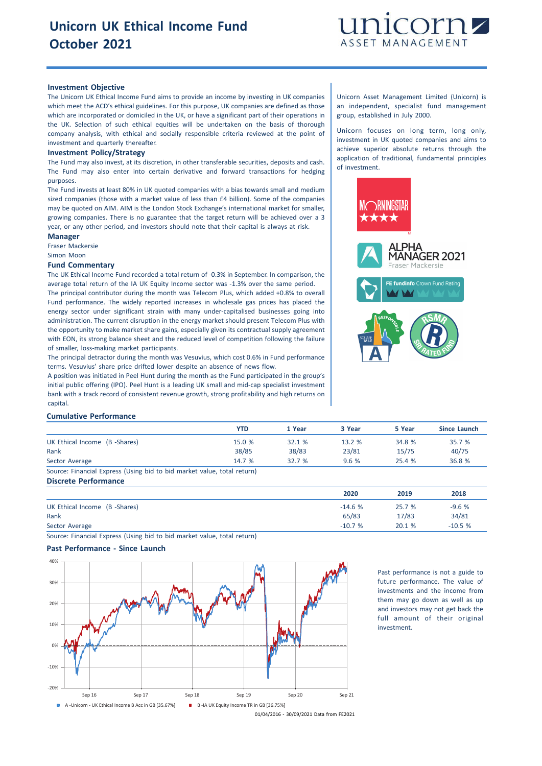

# **Investment Objective**

The Unicorn UK Ethical Income Fund aims to provide an income by investing in UK companies which meet the ACD's ethical guidelines. For this purpose, UK companies are defined as those which are incorporated or domiciled in the UK, or have a significant part of their operations in the UK. Selection of such ethical equities will be undertaken on the basis of thorough company analysis, with ethical and socially responsible criteria reviewed at the point of investment and quarterly thereafter.

#### **Investment Policy/Strategy**

The Fund may also invest, at its discretion, in other transferable securities, deposits and cash. The Fund may also enter into certain derivative and forward transactions for hedging purposes.

The Fund invests at least 80% in UK quoted companies with a bias towards small and medium sized companies (those with a market value of less than £4 billion). Some of the companies may be quoted on AIM. AIM is the London Stock Exchange's international market for smaller, growing companies. There is no guarantee that the target return will be achieved over a 3 year, or any other period, and investors should note that their capital is always at risk.

## **Manager**

Fraser Mackersie

Simon Moon

#### **Fund Commentary**

The UK Ethical Income Fund recorded a total return of -0.3% in September. In comparison, the average total return of the IA UK Equity Income sector was -1.3% over the same period. The principal contributor during the month was Telecom Plus, which added +0.8% to overall Fund performance. The widely reported increases in wholesale gas prices has placed the energy sector under significant strain with many under-capitalised businesses going into administration. The current disruption in the energy market should present Telecom Plus with the opportunity to make market share gains, especially given its contractual supply agreement with EON, its strong balance sheet and the reduced level of competition following the failure of smaller, loss-making market participants.

The principal detractor during the month was Vesuvius, which cost 0.6% in Fund performance terms. Vesuvius' share price drifted lower despite an absence of news flow.

A position was initiated in Peel Hunt during the month as the Fund participated in the group's initial public offering (IPO). Peel Hunt is a leading UK small and mid-cap specialist investment bank with a track record of consistent revenue growth, strong profitability and high returns on capital.

#### **Cumulative Performance**

|                                                                         | YTD    | 1 Year | 3 Year | 5 Year | Since Launch |
|-------------------------------------------------------------------------|--------|--------|--------|--------|--------------|
| UK Ethical Income (B -Shares)                                           | 15.0 % | 32.1%  | 13.2%  | 34.8 % | 35.7 %       |
| Rank                                                                    | 38/85  | 38/83  | 23/81  | 15/75  | 40/75        |
| Sector Average                                                          | 14.7%  | 32.7%  | 9.6%   | 25.4%  | 36.8 %       |
| Source: Financial Express (Using bid to bid market value, total return) |        |        |        |        |              |

## **Discrete Performance**

|                              | 2020     | 2019   | 2018     |
|------------------------------|----------|--------|----------|
| UK Ethical Income (B-Shares) | $-14.6%$ | 25.7 % | $-9.6%$  |
| Rank                         | 65/83    | 17/83  | 34/81    |
| Sector Average               | $-10.7%$ | 20.1%  | $-10.5%$ |

Source: Financial Express (Using bid to bid market value, total return)

## **Past Performance - Since Launch**



Past performance is not a guide to future performance. The value of investments and the income from them may go down as well as up and investors may not get back the full amount of their original investment.

Unicorn Asset Management Limited (Unicorn) is an independent, specialist fund management group, established in July 2000.

Unicorn focuses on long term, long only, investment in UK quoted companies and aims to achieve superior absolute returns through the application of traditional, fundamental principles of investment.